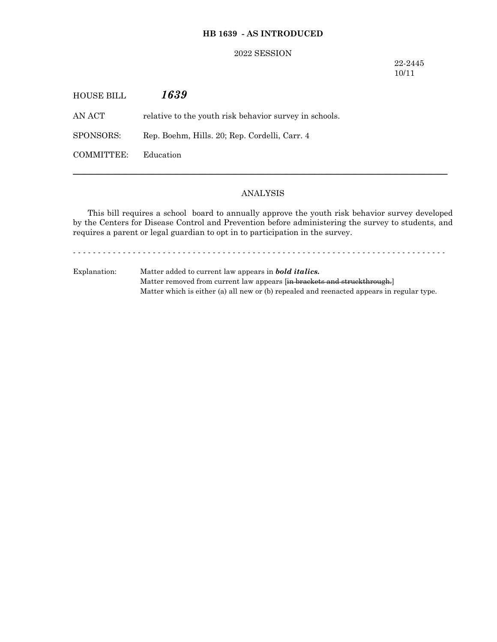# **HB 1639 - AS INTRODUCED**

### 2022 SESSION

22-2445 10/11

| HOUSE BILL | 1639                                                   |
|------------|--------------------------------------------------------|
| AN ACT     | relative to the youth risk behavior survey in schools. |
| SPONSORS:  | Rep. Boehm, Hills. 20; Rep. Cordelli, Carr. 4          |
| COMMITTEE: | Education                                              |

## ANALYSIS

─────────────────────────────────────────────────────────────────

This bill requires a school board to annually approve the youth risk behavior survey developed by the Centers for Disease Control and Prevention before administering the survey to students, and requires a parent or legal guardian to opt in to participation in the survey.

- - - - - - - - - - - - - - - - - - - - - - - - - - - - - - - - - - - - - - - - - - - - - - - - - - - - - - - - - - - - - - - - - - - - - - - - - - -

Explanation: Matter added to current law appears in *bold italics.* Matter removed from current law appears [in brackets and struckthrough.] Matter which is either (a) all new or (b) repealed and reenacted appears in regular type.